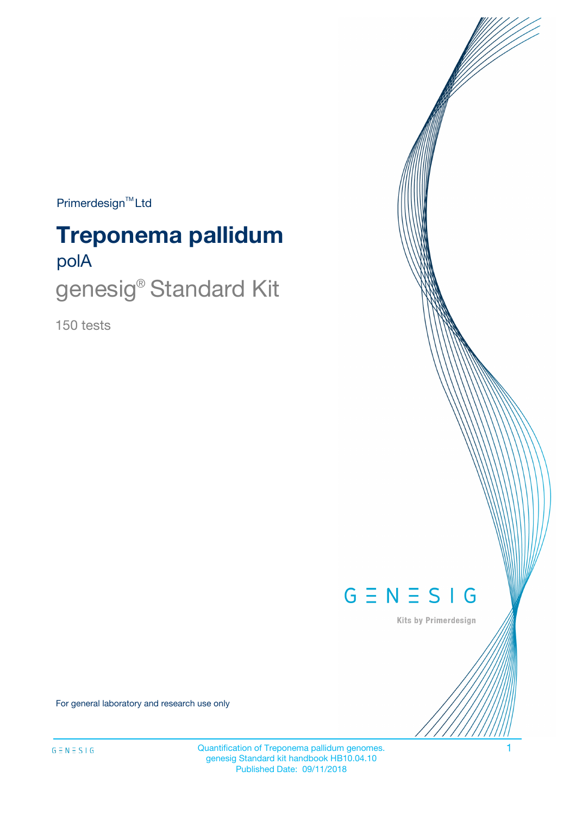$Primerdesign^{\text{TM}}Ltd$ 

# polA **Treponema pallidum**

genesig® Standard Kit

150 tests



Kits by Primerdesign

For general laboratory and research use only

Quantification of Treponema pallidum genomes. 1 genesig Standard kit handbook HB10.04.10 Published Date: 09/11/2018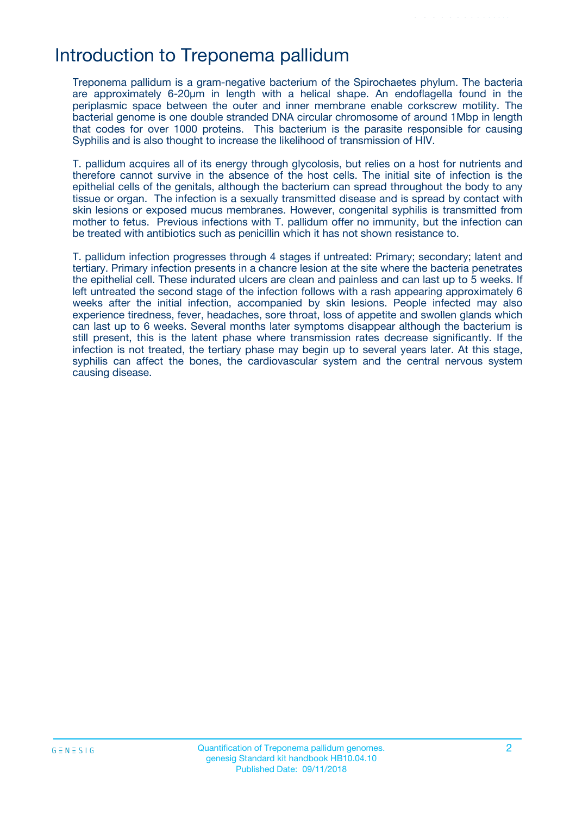### Introduction to Treponema pallidum

Treponema pallidum is a gram-negative bacterium of the Spirochaetes phylum. The bacteria are approximately 6-20μm in length with a helical shape. An endoflagella found in the periplasmic space between the outer and inner membrane enable corkscrew motility. The bacterial genome is one double stranded DNA circular chromosome of around 1Mbp in length that codes for over 1000 proteins. This bacterium is the parasite responsible for causing Syphilis and is also thought to increase the likelihood of transmission of HIV.

T. pallidum acquires all of its energy through glycolosis, but relies on a host for nutrients and therefore cannot survive in the absence of the host cells. The initial site of infection is the epithelial cells of the genitals, although the bacterium can spread throughout the body to any tissue or organ. The infection is a sexually transmitted disease and is spread by contact with skin lesions or exposed mucus membranes. However, congenital syphilis is transmitted from mother to fetus. Previous infections with T. pallidum offer no immunity, but the infection can be treated with antibiotics such as penicillin which it has not shown resistance to.

T. pallidum infection progresses through 4 stages if untreated: Primary; secondary; latent and tertiary. Primary infection presents in a chancre lesion at the site where the bacteria penetrates the epithelial cell. These indurated ulcers are clean and painless and can last up to 5 weeks. If left untreated the second stage of the infection follows with a rash appearing approximately 6 weeks after the initial infection, accompanied by skin lesions. People infected may also experience tiredness, fever, headaches, sore throat, loss of appetite and swollen glands which can last up to 6 weeks. Several months later symptoms disappear although the bacterium is still present, this is the latent phase where transmission rates decrease significantly. If the infection is not treated, the tertiary phase may begin up to several years later. At this stage, syphilis can affect the bones, the cardiovascular system and the central nervous system causing disease.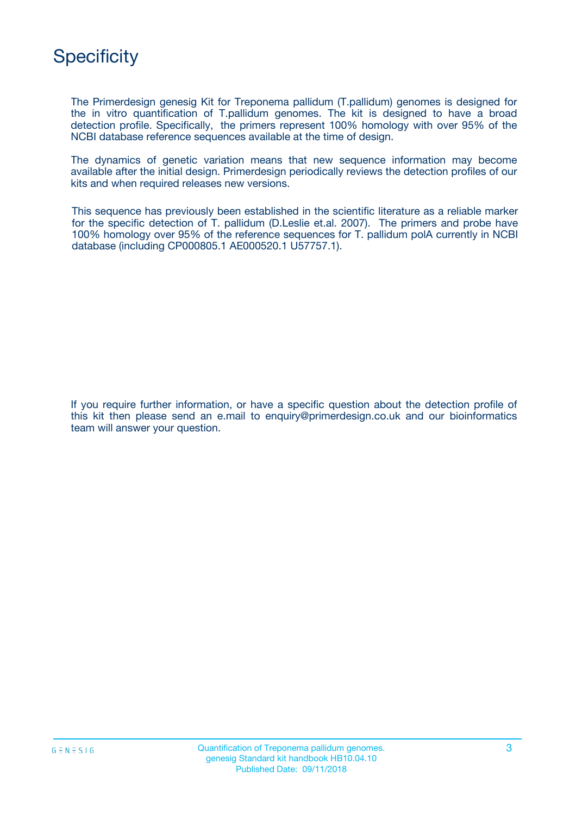

The Primerdesign genesig Kit for Treponema pallidum (T.pallidum) genomes is designed for the in vitro quantification of T.pallidum genomes. The kit is designed to have a broad detection profile. Specifically, the primers represent 100% homology with over 95% of the NCBI database reference sequences available at the time of design.

The dynamics of genetic variation means that new sequence information may become available after the initial design. Primerdesign periodically reviews the detection profiles of our kits and when required releases new versions.

This sequence has previously been established in the scientific literature as a reliable marker for the specific detection of T. pallidum (D.Leslie et.al. 2007). The primers and probe have 100% homology over 95% of the reference sequences for T. pallidum polA currently in NCBI database (including CP000805.1 AE000520.1 U57757.1).

If you require further information, or have a specific question about the detection profile of this kit then please send an e.mail to enquiry@primerdesign.co.uk and our bioinformatics team will answer your question.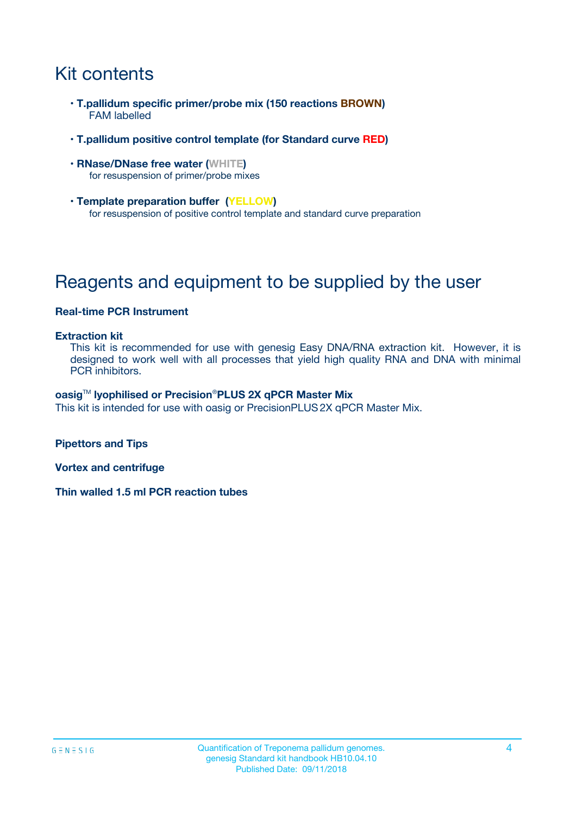## Kit contents

- **T.pallidum specific primer/probe mix (150 reactions BROWN)** FAM labelled
- **T.pallidum positive control template (for Standard curve RED)**
- **RNase/DNase free water (WHITE)** for resuspension of primer/probe mixes
- **Template preparation buffer (YELLOW)** for resuspension of positive control template and standard curve preparation

## Reagents and equipment to be supplied by the user

#### **Real-time PCR Instrument**

#### **Extraction kit**

This kit is recommended for use with genesig Easy DNA/RNA extraction kit. However, it is designed to work well with all processes that yield high quality RNA and DNA with minimal PCR inhibitors.

#### **oasig**TM **lyophilised or Precision**®**PLUS 2X qPCR Master Mix**

This kit is intended for use with oasig or PrecisionPLUS2X qPCR Master Mix.

**Pipettors and Tips**

**Vortex and centrifuge**

**Thin walled 1.5 ml PCR reaction tubes**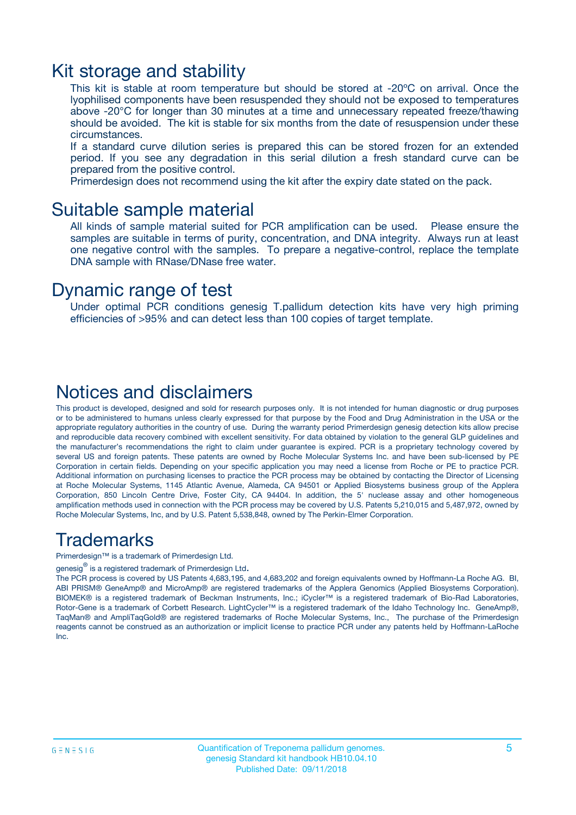### Kit storage and stability

This kit is stable at room temperature but should be stored at -20ºC on arrival. Once the lyophilised components have been resuspended they should not be exposed to temperatures above -20°C for longer than 30 minutes at a time and unnecessary repeated freeze/thawing should be avoided. The kit is stable for six months from the date of resuspension under these circumstances.

If a standard curve dilution series is prepared this can be stored frozen for an extended period. If you see any degradation in this serial dilution a fresh standard curve can be prepared from the positive control.

Primerdesign does not recommend using the kit after the expiry date stated on the pack.

### Suitable sample material

All kinds of sample material suited for PCR amplification can be used. Please ensure the samples are suitable in terms of purity, concentration, and DNA integrity. Always run at least one negative control with the samples. To prepare a negative-control, replace the template DNA sample with RNase/DNase free water.

### Dynamic range of test

Under optimal PCR conditions genesig T.pallidum detection kits have very high priming efficiencies of >95% and can detect less than 100 copies of target template.

### Notices and disclaimers

This product is developed, designed and sold for research purposes only. It is not intended for human diagnostic or drug purposes or to be administered to humans unless clearly expressed for that purpose by the Food and Drug Administration in the USA or the appropriate regulatory authorities in the country of use. During the warranty period Primerdesign genesig detection kits allow precise and reproducible data recovery combined with excellent sensitivity. For data obtained by violation to the general GLP guidelines and the manufacturer's recommendations the right to claim under guarantee is expired. PCR is a proprietary technology covered by several US and foreign patents. These patents are owned by Roche Molecular Systems Inc. and have been sub-licensed by PE Corporation in certain fields. Depending on your specific application you may need a license from Roche or PE to practice PCR. Additional information on purchasing licenses to practice the PCR process may be obtained by contacting the Director of Licensing at Roche Molecular Systems, 1145 Atlantic Avenue, Alameda, CA 94501 or Applied Biosystems business group of the Applera Corporation, 850 Lincoln Centre Drive, Foster City, CA 94404. In addition, the 5' nuclease assay and other homogeneous amplification methods used in connection with the PCR process may be covered by U.S. Patents 5,210,015 and 5,487,972, owned by Roche Molecular Systems, Inc, and by U.S. Patent 5,538,848, owned by The Perkin-Elmer Corporation.

### Trademarks

Primerdesign™ is a trademark of Primerdesign Ltd.

genesig $^\circledR$  is a registered trademark of Primerdesign Ltd.

The PCR process is covered by US Patents 4,683,195, and 4,683,202 and foreign equivalents owned by Hoffmann-La Roche AG. BI, ABI PRISM® GeneAmp® and MicroAmp® are registered trademarks of the Applera Genomics (Applied Biosystems Corporation). BIOMEK® is a registered trademark of Beckman Instruments, Inc.; iCycler™ is a registered trademark of Bio-Rad Laboratories, Rotor-Gene is a trademark of Corbett Research. LightCycler™ is a registered trademark of the Idaho Technology Inc. GeneAmp®, TaqMan® and AmpliTaqGold® are registered trademarks of Roche Molecular Systems, Inc., The purchase of the Primerdesign reagents cannot be construed as an authorization or implicit license to practice PCR under any patents held by Hoffmann-LaRoche Inc.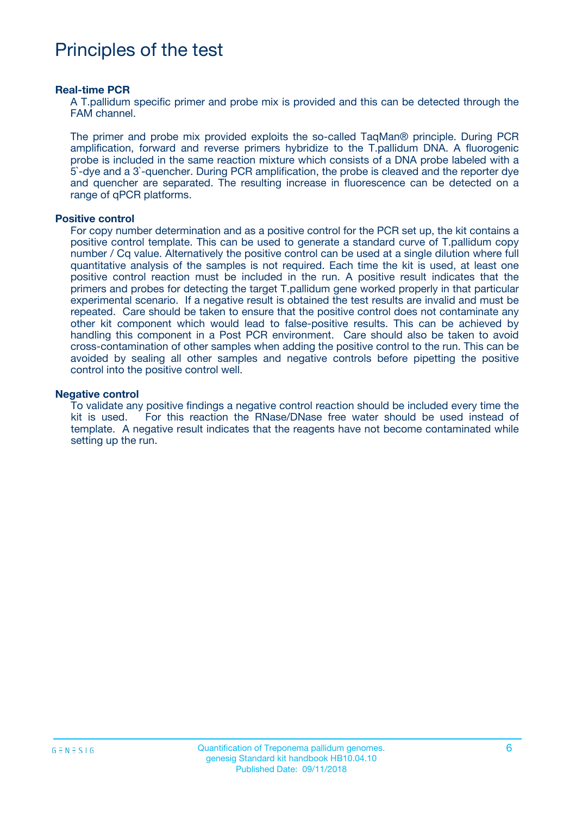### Principles of the test

#### **Real-time PCR**

A T.pallidum specific primer and probe mix is provided and this can be detected through the FAM channel.

The primer and probe mix provided exploits the so-called TaqMan® principle. During PCR amplification, forward and reverse primers hybridize to the T.pallidum DNA. A fluorogenic probe is included in the same reaction mixture which consists of a DNA probe labeled with a 5`-dye and a 3`-quencher. During PCR amplification, the probe is cleaved and the reporter dye and quencher are separated. The resulting increase in fluorescence can be detected on a range of qPCR platforms.

#### **Positive control**

For copy number determination and as a positive control for the PCR set up, the kit contains a positive control template. This can be used to generate a standard curve of T.pallidum copy number / Cq value. Alternatively the positive control can be used at a single dilution where full quantitative analysis of the samples is not required. Each time the kit is used, at least one positive control reaction must be included in the run. A positive result indicates that the primers and probes for detecting the target T.pallidum gene worked properly in that particular experimental scenario. If a negative result is obtained the test results are invalid and must be repeated. Care should be taken to ensure that the positive control does not contaminate any other kit component which would lead to false-positive results. This can be achieved by handling this component in a Post PCR environment. Care should also be taken to avoid cross-contamination of other samples when adding the positive control to the run. This can be avoided by sealing all other samples and negative controls before pipetting the positive control into the positive control well.

#### **Negative control**

To validate any positive findings a negative control reaction should be included every time the kit is used. For this reaction the RNase/DNase free water should be used instead of template. A negative result indicates that the reagents have not become contaminated while setting up the run.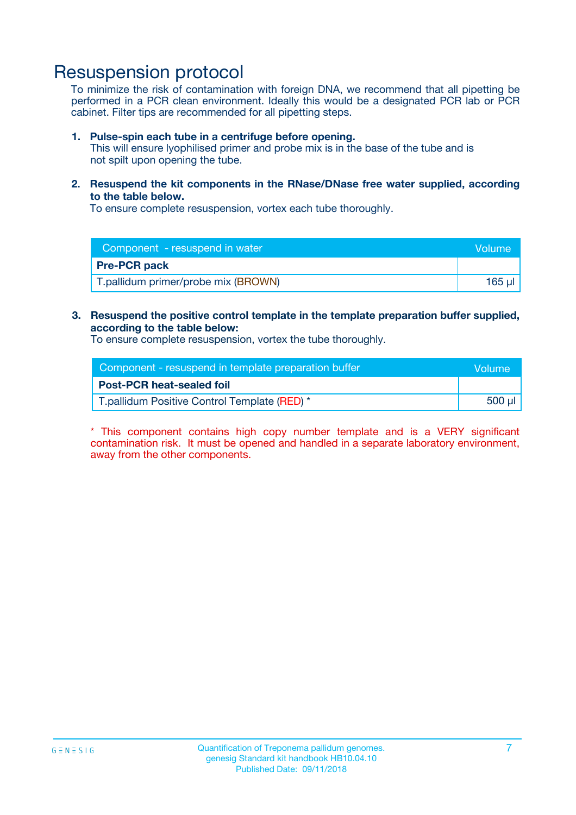### Resuspension protocol

To minimize the risk of contamination with foreign DNA, we recommend that all pipetting be performed in a PCR clean environment. Ideally this would be a designated PCR lab or PCR cabinet. Filter tips are recommended for all pipetting steps.

#### **1. Pulse-spin each tube in a centrifuge before opening.**

This will ensure lyophilised primer and probe mix is in the base of the tube and is not spilt upon opening the tube.

**2. Resuspend the kit components in the RNase/DNase free water supplied, according to the table below.**

To ensure complete resuspension, vortex each tube thoroughly.

| Component - resuspend in water      | Volume: |
|-------------------------------------|---------|
| <b>Pre-PCR pack</b>                 |         |
| T.pallidum primer/probe mix (BROWN) | 165 ul  |

#### **3. Resuspend the positive control template in the template preparation buffer supplied, according to the table below:**

To ensure complete resuspension, vortex the tube thoroughly.

| Component - resuspend in template preparation buffer |        |  |
|------------------------------------------------------|--------|--|
| <b>Post-PCR heat-sealed foil</b>                     |        |  |
| T.pallidum Positive Control Template (RED) *         | 500 µl |  |

\* This component contains high copy number template and is a VERY significant contamination risk. It must be opened and handled in a separate laboratory environment, away from the other components.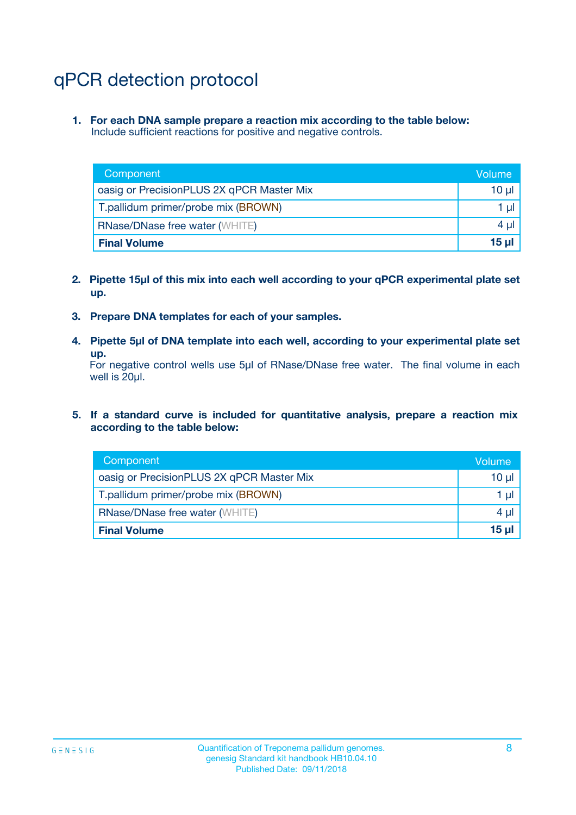## qPCR detection protocol

**1. For each DNA sample prepare a reaction mix according to the table below:** Include sufficient reactions for positive and negative controls.

| Component                                 | Volume       |
|-------------------------------------------|--------------|
| oasig or PrecisionPLUS 2X qPCR Master Mix | 10 $\mu$     |
| T.pallidum primer/probe mix (BROWN)       | 1 $\mu$      |
| <b>RNase/DNase free water (WHITE)</b>     | $4 \mu$      |
| <b>Final Volume</b>                       | <b>15 ul</b> |

- **2. Pipette 15µl of this mix into each well according to your qPCR experimental plate set up.**
- **3. Prepare DNA templates for each of your samples.**
- **4. Pipette 5µl of DNA template into each well, according to your experimental plate set up.**

For negative control wells use 5µl of RNase/DNase free water. The final volume in each well is 20µl.

**5. If a standard curve is included for quantitative analysis, prepare a reaction mix according to the table below:**

| Component                                 | Volume          |
|-------------------------------------------|-----------------|
| oasig or PrecisionPLUS 2X qPCR Master Mix | 10 µl           |
| T.pallidum primer/probe mix (BROWN)       | 1 µI            |
| <b>RNase/DNase free water (WHITE)</b>     | $4 \mu$         |
| <b>Final Volume</b>                       | 15 <sub>µ</sub> |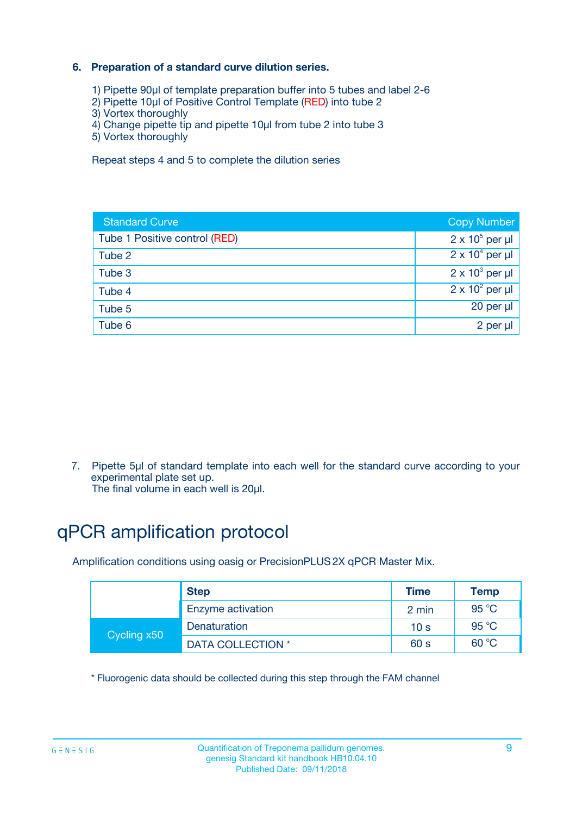#### **6. Preparation of a standard curve dilution series.**

- 1) Pipette 90µl of template preparation buffer into 5 tubes and label 2-6
- 2) Pipette 10µl of Positive Control Template (RED) into tube 2
- 3) Vortex thoroughly
- 4) Change pipette tip and pipette 10µl from tube 2 into tube 3
- 5) Vortex thoroughly

Repeat steps 4 and 5 to complete the dilution series

| <b>Standard Curve</b>         | <b>Copy Number</b>     |
|-------------------------------|------------------------|
| Tube 1 Positive control (RED) | $2 \times 10^5$ per µl |
| Tube 2                        | $2 \times 10^4$ per µl |
| Tube 3                        | $2 \times 10^3$ per µl |
| Tube 4                        | $2 \times 10^2$ per µl |
| Tube 5                        | 20 per µl              |
| Tube 6                        | $2$ per $\mu$          |

7. Pipette 5µl of standard template into each well for the standard curve according to your experimental plate set up.

The final volume in each well is 20µl.

## qPCR amplification protocol

Amplification conditions using oasig or PrecisionPLUS2X qPCR Master Mix.

|             | <b>Step</b>       | <b>Time</b>     | <b>Temp</b>    |
|-------------|-------------------|-----------------|----------------|
|             | Enzyme activation | 2 min           | $95^{\circ}$ C |
| Cycling x50 | Denaturation      | 10 <sub>s</sub> | 95 $°C$        |
|             | DATA COLLECTION * | 60 s            | 60 °C          |

\* Fluorogenic data should be collected during this step through the FAM channel